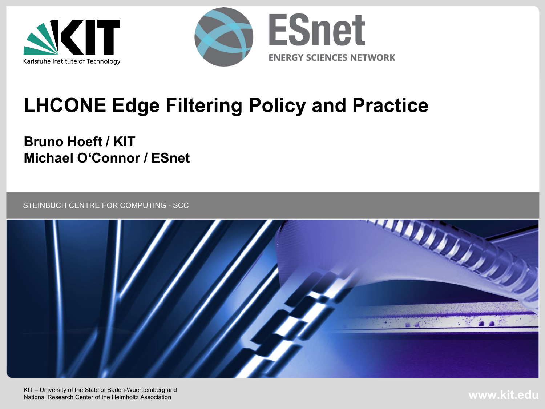



# **LHCONE Edge Filtering Policy and Practice**

#### **Bruno Hoeft / KIT Michael O'Connor / ESnet**

STEINBUCH CENTRE FOR COMPUTING - SCC

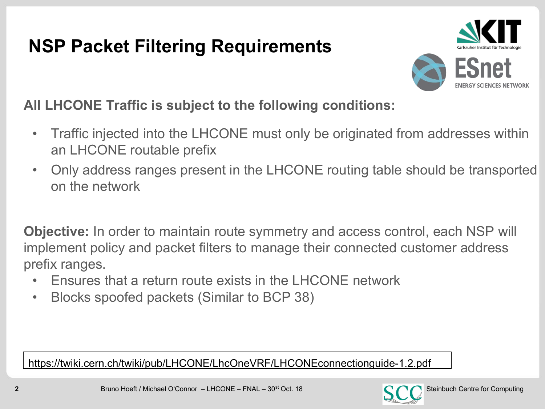## **NSP Packet Filtering Requirements**



#### **All LHCONE Traffic is subject to the following conditions:**

- Traffic injected into the LHCONE must only be originated from addresses within an LHCONE routable prefix
- Only address ranges present in the LHCONE routing table should be transported on the network

**Objective:** In order to maintain route symmetry and access control, each NSP will implement policy and packet filters to manage their connected customer address prefix ranges.

- Ensures that a return route exists in the LHCONE network
- Blocks spoofed packets (Similar to BCP 38)

https://twiki.cern.ch/twiki/pub/LHCONE/LhcOneVRF/LHCONEconnectionguide-1.2.pdf

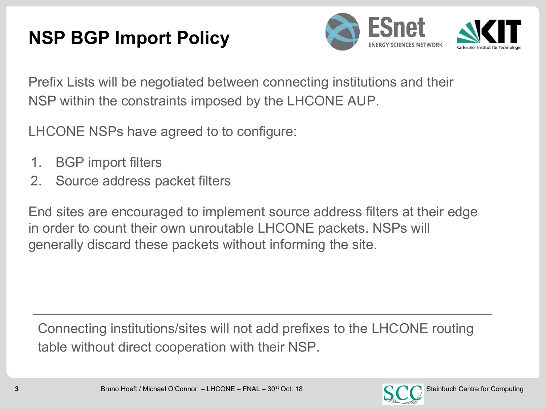## **NSP BGP Import Policy**



Prefix Lists will be negotiated between connecting institutions and their NSP within the constraints imposed by the LHCONE AUP.

LHCONE NSPs have agreed to to configure:

- 1. BGP import filters
- 2. Source address packet filters

End sites are encouraged to implement source address filters at their edge in order to count their own unroutable LHCONE packets. NSPs will generally discard these packets without informing the site.

Connecting institutions/sites will not add prefixes to the LHCONE routing table without direct cooperation with their NSP.

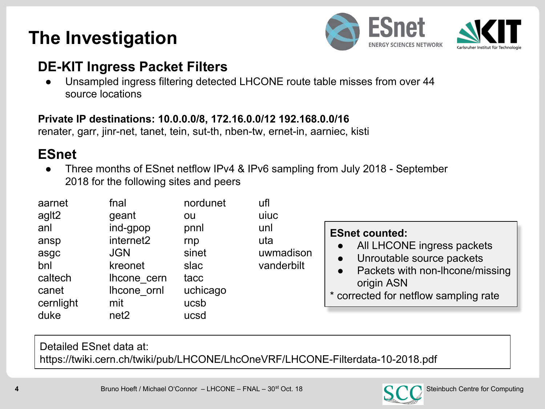#### **The Investigation**



#### **DE-KIT Ingress Packet Filters**

Unsampled ingress filtering detected LHCONE route table misses from over 44 source locations

#### **Private IP destinations: 10.0.0.0/8, 172.16.0.0/12 192.168.0.0/16**

renater, garr, jinr-net, tanet, tein, sut-th, nben-tw, ernet-in, aarniec, kisti

#### **ESnet**

Three months of ESnet netflow IPv4 & IPv6 sampling from July 2018 - September 2018 for the following sites and peers

| aarnet    | fnal                  | nordunet | ufl        |                                              |
|-----------|-----------------------|----------|------------|----------------------------------------------|
| aglt2     | geant                 | ou       | uiuc       |                                              |
| anl       | ind-gpop              | pnnl     | unl        | <b>ESnet counted:</b>                        |
| ansp      | internet <sub>2</sub> | rnp      | uta        | All LHCONE ingress packets                   |
| asgc      | <b>JGN</b>            | sinet    | uwmadison  | Unroutable source packets<br>$\bullet$       |
| bnl       | kreonet               | slac     | vanderbilt | Packets with non-lhcone/missing<br>$\bullet$ |
| caltech   | Ihcone cern           | tacc     |            | origin ASN                                   |
| canet     | Ihcone ornl           | uchicago |            | * corrected for netflow sampling rate        |
| cernlight | mit                   | ucsb     |            |                                              |
| duke      | net <sub>2</sub>      | ucsd     |            |                                              |

Detailed ESnet data at: https://twiki.cern.ch/twiki/pub/LHCONE/LhcOneVRF/LHCONE-Filterdata-10-2018.pdf

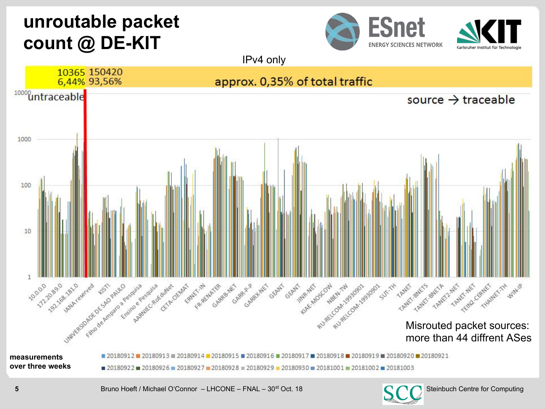### **unroutable packet count @ DE-KIT**





**5** Steinbuch Centre for Computing Centre for Computing Centre for Computing Centre for Computing Centre for Computing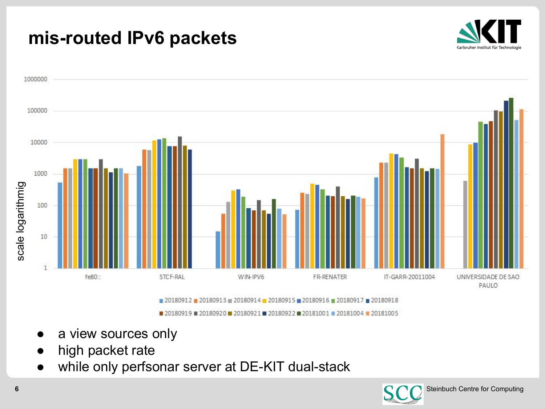#### **mis-routed IPv6 packets**





- a view sources only
- high packet rate
- while only perfsonar server at DE-KIT dual-stack

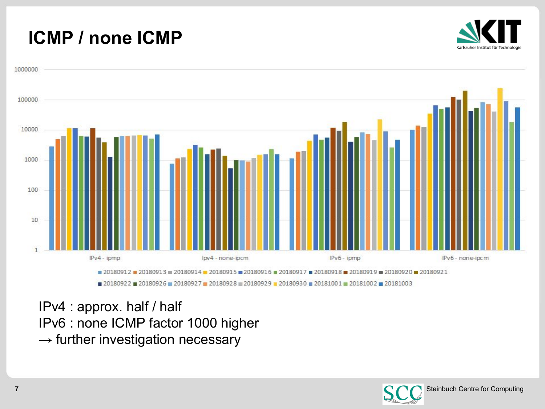#### **ICMP / none ICMP**





IPv4 : approx. half / half IPv6 : none ICMP factor 1000 higher  $\rightarrow$  further investigation necessary

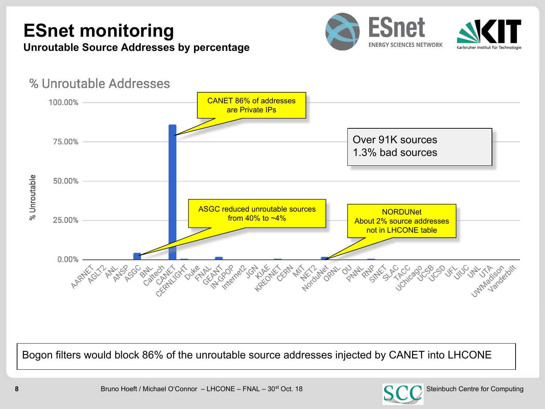# **ESnet monitoring**



**Unroutable Source Addresses by percentage**



Bogon filters would block 86% of the unroutable source addresses injected by CANET into LHCONE

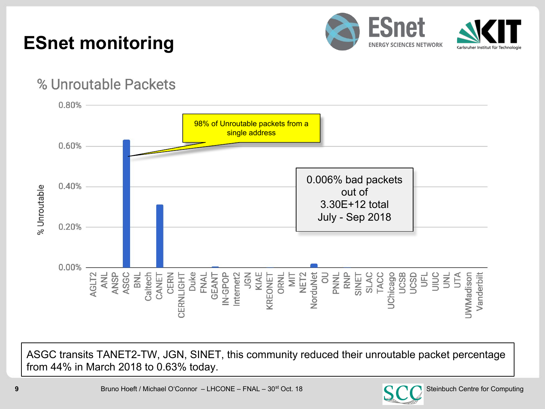## **ESnet monitoring**



#### % Unroutable Packets



ASGC transits TANET2-TW, JGN, SINET, this community reduced their unroutable packet percentage from 44% in March 2018 to 0.63% today.

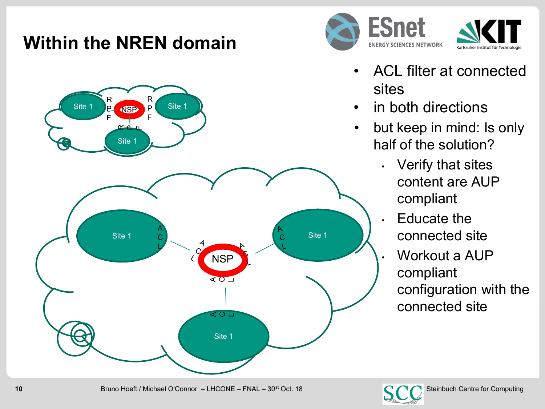#### **Within the NREN domain**





- ACL filter at connected sites
- in both directions
- but keep in mind: Is only half of the solution?
	- Verify that sites content are AUP compliant
	- Educate the connected site
	- Workout a AUP compliant configuration with the connected site

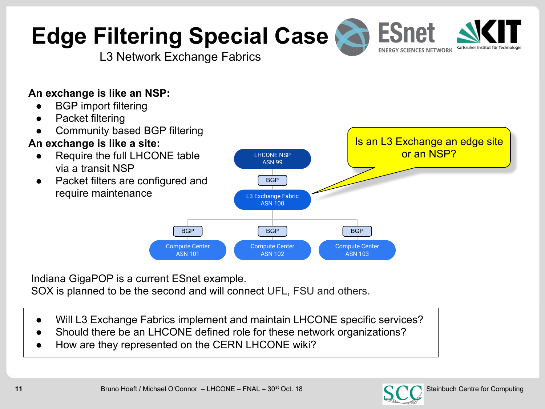

LHCONE NSP ASN 99

L3 Exchange Fabric ASN 100

BGP

- Will L3 Exchange Fabrics implement and maintain LHCONE specific services?
- Should there be an LHCONE defined role for these network organizations?
- How are they represented on the CERN LHCONE wiki?



# **Edge Filtering Special Case**

L3 Network Exchange Fabrics

#### **An exchange is like an NSP:**

- **BGP** import filtering
- Packet filtering
- Community based BGP filtering

#### **An exchange is like a site:**

- Require the full LHCONE table via a transit NSP
- Packet filters are configured and require maintenance



Is an L3 Exchange an edge site or an NSP?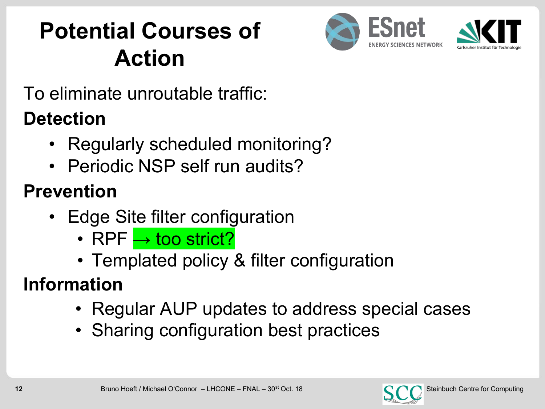# **Potential Courses of Action**



To eliminate unroutable traffic:

# **Detection**

- Regularly scheduled monitoring?
- Periodic NSP self run audits?

# **Prevention**

- Edge Site filter configuration
	- RPF → too strict?
	- Templated policy & filter configuration

# **Information**

- Regular AUP updates to address special cases
- Sharing configuration best practices

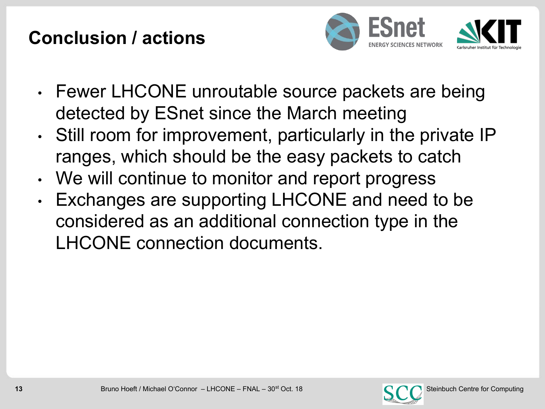#### **Conclusion / actions**



- Fewer LHCONE unroutable source packets are being detected by ESnet since the March meeting
- Still room for improvement, particularly in the private IP ranges, which should be the easy packets to catch
- We will continue to monitor and report progress
- Exchanges are supporting LHCONE and need to be considered as an additional connection type in the LHCONE connection documents.